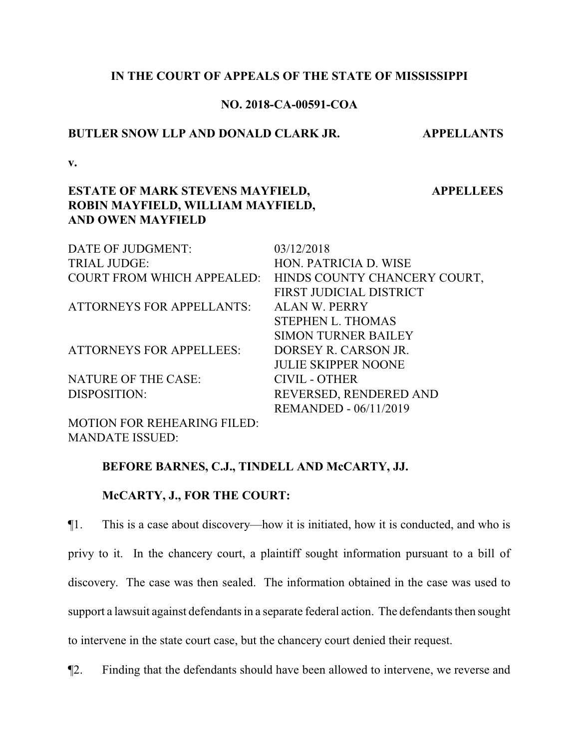## **IN THE COURT OF APPEALS OF THE STATE OF MISSISSIPPI**

## **NO. 2018-CA-00591-COA**

#### **BUTLER SNOW LLP AND DONALD CLARK JR. APPELLANTS**

 **APPELLEES**

**v.**

## **ESTATE OF MARK STEVENS MAYFIELD, ROBIN MAYFIELD, WILLIAM MAYFIELD, AND OWEN MAYFIELD**

| DATE OF JUDGMENT:                 | 03/12/2018                   |
|-----------------------------------|------------------------------|
| <b>TRIAL JUDGE:</b>               | HON. PATRICIA D. WISE        |
| <b>COURT FROM WHICH APPEALED:</b> | HINDS COUNTY CHANCERY COURT, |
|                                   | FIRST JUDICIAL DISTRICT      |
| <b>ATTORNEYS FOR APPELLANTS:</b>  | <b>ALAN W. PERRY</b>         |
|                                   | <b>STEPHEN L. THOMAS</b>     |
|                                   | <b>SIMON TURNER BAILEY</b>   |
| <b>ATTORNEYS FOR APPELLEES:</b>   | DORSEY R. CARSON JR.         |
|                                   | <b>JULIE SKIPPER NOONE</b>   |
| <b>NATURE OF THE CASE:</b>        | <b>CIVIL - OTHER</b>         |
| DISPOSITION:                      | REVERSED, RENDERED AND       |
|                                   | <b>REMANDED - 06/11/2019</b> |
| MOTION EOP DELIEADING EILED.      |                              |

MOTION FOR REHEARING FILED: MANDATE ISSUED:

# **BEFORE BARNES, C.J., TINDELL AND McCARTY, JJ.**

#### **McCARTY, J., FOR THE COURT:**

¶1. This is a case about discovery—how it is initiated, how it is conducted, and who is privy to it. In the chancery court, a plaintiff sought information pursuant to a bill of discovery. The case was then sealed. The information obtained in the case was used to support a lawsuit against defendants in a separate federal action. The defendants then sought to intervene in the state court case, but the chancery court denied their request.

¶2. Finding that the defendants should have been allowed to intervene, we reverse and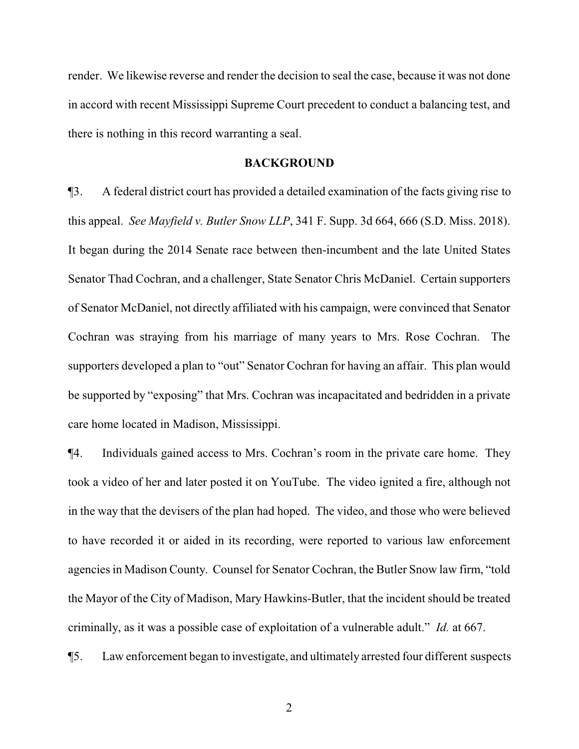render. We likewise reverse and render the decision to seal the case, because it was not done in accord with recent Mississippi Supreme Court precedent to conduct a balancing test, and there is nothing in this record warranting a seal.

#### **BACKGROUND**

¶3. A federal district court has provided a detailed examination of the facts giving rise to this appeal. *See Mayfield v. Butler Snow LLP*, 341 F. Supp. 3d 664, 666 (S.D. Miss. 2018). It began during the 2014 Senate race between then-incumbent and the late United States Senator Thad Cochran, and a challenger, State Senator Chris McDaniel. Certain supporters of Senator McDaniel, not directly affiliated with his campaign, were convinced that Senator Cochran was straying from his marriage of many years to Mrs. Rose Cochran. The supporters developed a plan to "out" Senator Cochran for having an affair. This plan would be supported by "exposing" that Mrs. Cochran was incapacitated and bedridden in a private care home located in Madison, Mississippi.

¶4. Individuals gained access to Mrs. Cochran's room in the private care home. They took a video of her and later posted it on YouTube. The video ignited a fire, although not in the way that the devisers of the plan had hoped. The video, and those who were believed to have recorded it or aided in its recording, were reported to various law enforcement agencies in Madison County. Counsel for Senator Cochran, the Butler Snow law firm, "told the Mayor of the City of Madison, Mary Hawkins-Butler, that the incident should be treated criminally, as it was a possible case of exploitation of a vulnerable adult." *Id.* at 667.

¶5. Law enforcement began to investigate, and ultimately arrested four different suspects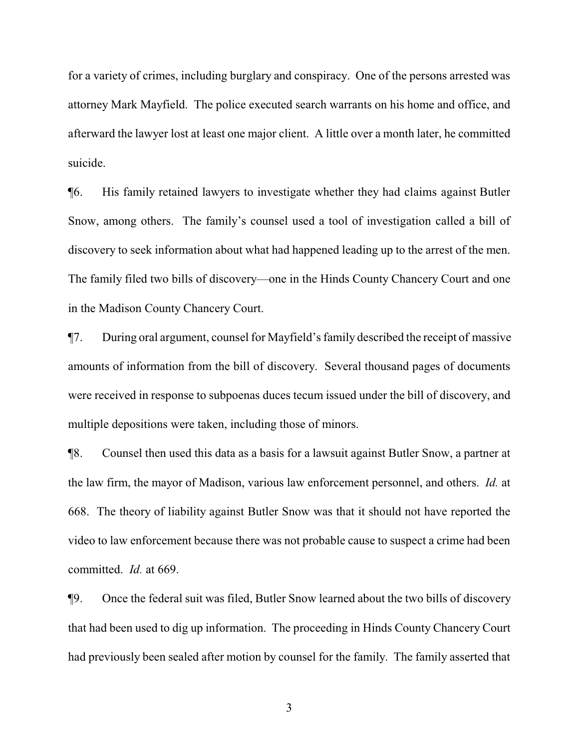for a variety of crimes, including burglary and conspiracy. One of the persons arrested was attorney Mark Mayfield. The police executed search warrants on his home and office, and afterward the lawyer lost at least one major client. A little over a month later, he committed suicide.

¶6. His family retained lawyers to investigate whether they had claims against Butler Snow, among others. The family's counsel used a tool of investigation called a bill of discovery to seek information about what had happened leading up to the arrest of the men. The family filed two bills of discovery—one in the Hinds County Chancery Court and one in the Madison County Chancery Court.

¶7. During oral argument, counsel for Mayfield's family described the receipt of massive amounts of information from the bill of discovery. Several thousand pages of documents were received in response to subpoenas duces tecum issued under the bill of discovery, and multiple depositions were taken, including those of minors.

¶8. Counsel then used this data as a basis for a lawsuit against Butler Snow, a partner at the law firm, the mayor of Madison, various law enforcement personnel, and others. *Id.* at 668. The theory of liability against Butler Snow was that it should not have reported the video to law enforcement because there was not probable cause to suspect a crime had been committed. *Id.* at 669.

¶9. Once the federal suit was filed, Butler Snow learned about the two bills of discovery that had been used to dig up information. The proceeding in Hinds County Chancery Court had previously been sealed after motion by counsel for the family. The family asserted that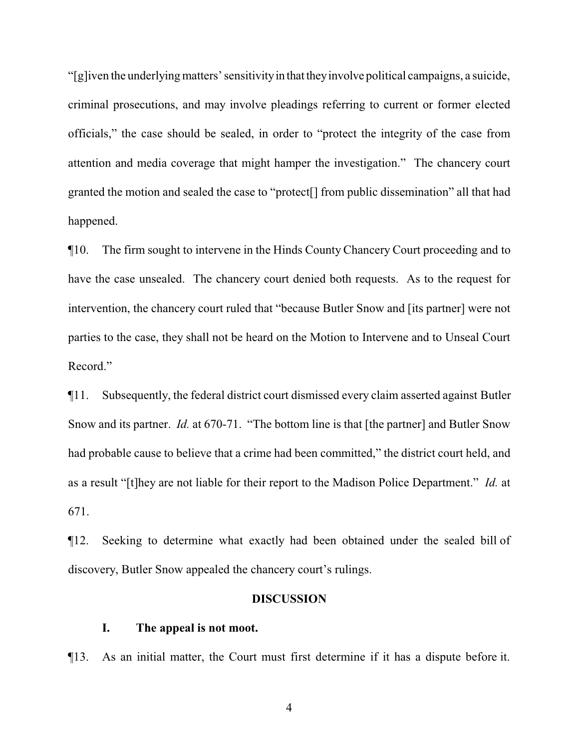"[g]iven the underlying matters' sensitivity in that they involve political campaigns, a suicide, criminal prosecutions, and may involve pleadings referring to current or former elected officials," the case should be sealed, in order to "protect the integrity of the case from attention and media coverage that might hamper the investigation." The chancery court granted the motion and sealed the case to "protect[] from public dissemination" all that had happened.

¶10. The firm sought to intervene in the Hinds County Chancery Court proceeding and to have the case unsealed. The chancery court denied both requests. As to the request for intervention, the chancery court ruled that "because Butler Snow and [its partner] were not parties to the case, they shall not be heard on the Motion to Intervene and to Unseal Court Record."

¶11. Subsequently, the federal district court dismissed every claim asserted against Butler Snow and its partner. *Id.* at 670-71. "The bottom line is that [the partner] and Butler Snow had probable cause to believe that a crime had been committed," the district court held, and as a result "[t]hey are not liable for their report to the Madison Police Department." *Id.* at 671.

¶12. Seeking to determine what exactly had been obtained under the sealed bill of discovery, Butler Snow appealed the chancery court's rulings.

## **DISCUSSION**

### **I. The appeal is not moot.**

¶13. As an initial matter, the Court must first determine if it has a dispute before it.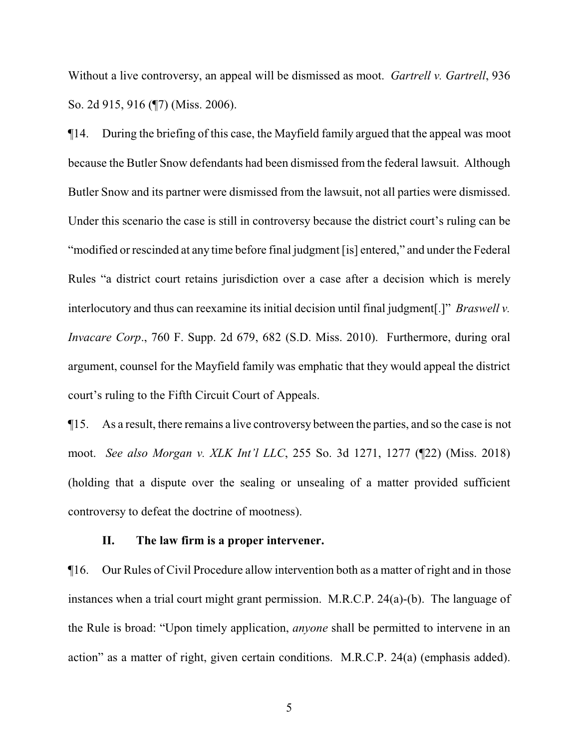Without a live controversy, an appeal will be dismissed as moot. *Gartrell v. Gartrell*, 936 So. 2d 915, 916 (¶7) (Miss. 2006).

¶14. During the briefing of this case, the Mayfield family argued that the appeal was moot because the Butler Snow defendants had been dismissed from the federal lawsuit. Although Butler Snow and its partner were dismissed from the lawsuit, not all parties were dismissed. Under this scenario the case is still in controversy because the district court's ruling can be "modified or rescinded at any time before final judgment [is] entered," and under the Federal Rules "a district court retains jurisdiction over a case after a decision which is merely interlocutory and thus can reexamine its initial decision until final judgment[.]" *Braswell v. Invacare Corp*., 760 F. Supp. 2d 679, 682 (S.D. Miss. 2010). Furthermore, during oral argument, counsel for the Mayfield family was emphatic that they would appeal the district court's ruling to the Fifth Circuit Court of Appeals.

¶15. As a result, there remains a live controversy between the parties, and so the case is not moot. *See also Morgan v. XLK Int'l LLC*, 255 So. 3d 1271, 1277 (¶22) (Miss. 2018) (holding that a dispute over the sealing or unsealing of a matter provided sufficient controversy to defeat the doctrine of mootness).

#### **II. The law firm is a proper intervener.**

¶16. Our Rules of Civil Procedure allow intervention both as a matter of right and in those instances when a trial court might grant permission. M.R.C.P. 24(a)-(b). The language of the Rule is broad: "Upon timely application, *anyone* shall be permitted to intervene in an action" as a matter of right, given certain conditions. M.R.C.P. 24(a) (emphasis added).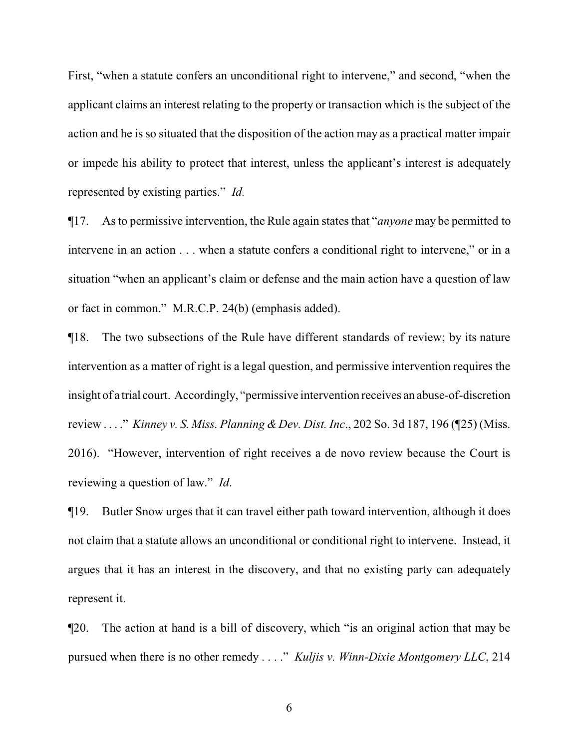First, "when a statute confers an unconditional right to intervene," and second, "when the applicant claims an interest relating to the property or transaction which is the subject of the action and he is so situated that the disposition of the action may as a practical matter impair or impede his ability to protect that interest, unless the applicant's interest is adequately represented by existing parties." *Id.*

¶17. As to permissive intervention, the Rule again states that "*anyone* may be permitted to intervene in an action . . . when a statute confers a conditional right to intervene," or in a situation "when an applicant's claim or defense and the main action have a question of law or fact in common." M.R.C.P. 24(b) (emphasis added).

¶18. The two subsections of the Rule have different standards of review; by its nature intervention as a matter of right is a legal question, and permissive intervention requires the insight of a trial court. Accordingly, "permissive intervention receives an abuse-of-discretion review . . . ." *Kinney v. S. Miss. Planning & Dev. Dist. Inc*., 202 So. 3d 187, 196 (¶25) (Miss. 2016). "However, intervention of right receives a de novo review because the Court is reviewing a question of law." *Id*.

¶19. Butler Snow urges that it can travel either path toward intervention, although it does not claim that a statute allows an unconditional or conditional right to intervene. Instead, it argues that it has an interest in the discovery, and that no existing party can adequately represent it.

¶20. The action at hand is a bill of discovery, which "is an original action that may be pursued when there is no other remedy . . . ." *Kuljis v. Winn-Dixie Montgomery LLC*, 214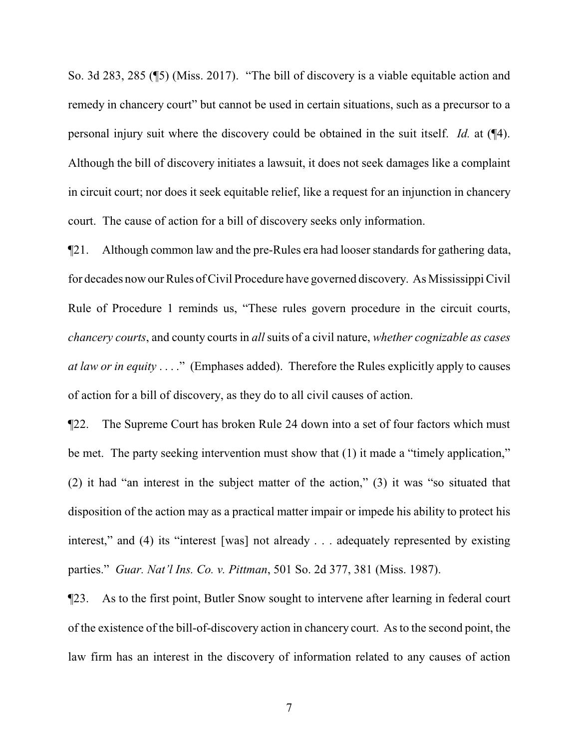So. 3d 283, 285 (¶5) (Miss. 2017). "The bill of discovery is a viable equitable action and remedy in chancery court" but cannot be used in certain situations, such as a precursor to a personal injury suit where the discovery could be obtained in the suit itself. *Id.* at (¶4). Although the bill of discovery initiates a lawsuit, it does not seek damages like a complaint in circuit court; nor does it seek equitable relief, like a request for an injunction in chancery court. The cause of action for a bill of discovery seeks only information.

¶21. Although common law and the pre-Rules era had looser standards for gathering data, for decades now our Rules ofCivil Procedure have governed discovery. As Mississippi Civil Rule of Procedure 1 reminds us, "These rules govern procedure in the circuit courts, *chancery courts*, and county courts in *all* suits of a civil nature, *whether cognizable as cases at law or in equity* . . . ." (Emphases added). Therefore the Rules explicitly apply to causes of action for a bill of discovery, as they do to all civil causes of action.

¶22. The Supreme Court has broken Rule 24 down into a set of four factors which must be met. The party seeking intervention must show that (1) it made a "timely application," (2) it had "an interest in the subject matter of the action," (3) it was "so situated that disposition of the action may as a practical matter impair or impede his ability to protect his interest," and (4) its "interest [was] not already . . . adequately represented by existing parties." *Guar. Nat'l Ins. Co. v. Pittman*, 501 So. 2d 377, 381 (Miss. 1987).

¶23. As to the first point, Butler Snow sought to intervene after learning in federal court of the existence of the bill-of-discovery action in chancery court. As to the second point, the law firm has an interest in the discovery of information related to any causes of action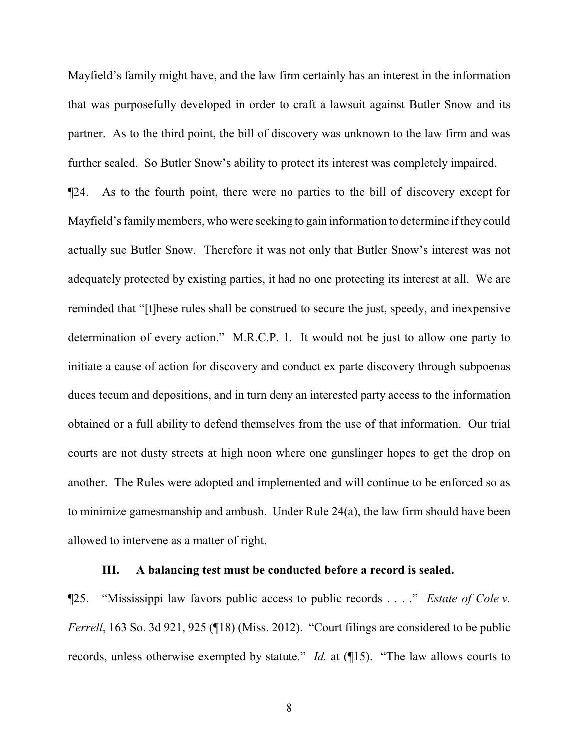Mayfield's family might have, and the law firm certainly has an interest in the information that was purposefully developed in order to craft a lawsuit against Butler Snow and its partner. As to the third point, the bill of discovery was unknown to the law firm and was further sealed. So Butler Snow's ability to protect its interest was completely impaired.

¶24. As to the fourth point, there were no parties to the bill of discovery except for Mayfield's family members, who were seeking to gain information to determine if they could actually sue Butler Snow. Therefore it was not only that Butler Snow's interest was not adequately protected by existing parties, it had no one protecting its interest at all. We are reminded that "[t]hese rules shall be construed to secure the just, speedy, and inexpensive determination of every action." M.R.C.P. 1. It would not be just to allow one party to initiate a cause of action for discovery and conduct ex parte discovery through subpoenas duces tecum and depositions, and in turn deny an interested party access to the information obtained or a full ability to defend themselves from the use of that information. Our trial courts are not dusty streets at high noon where one gunslinger hopes to get the drop on another. The Rules were adopted and implemented and will continue to be enforced so as to minimize gamesmanship and ambush. Under Rule 24(a), the law firm should have been allowed to intervene as a matter of right.

### **III. A balancing test must be conducted before a record is sealed.**

¶25. "Mississippi law favors public access to public records . . . ." *Estate of Cole v. Ferrell*, 163 So. 3d 921, 925 (¶18) (Miss. 2012). "Court filings are considered to be public records, unless otherwise exempted by statute." *Id.* at (¶15). "The law allows courts to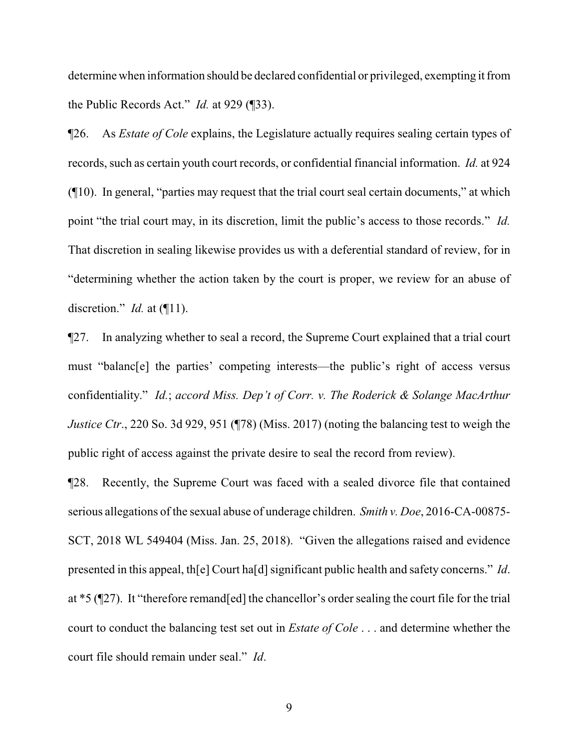determine when information should be declared confidential or privileged, exempting it from the Public Records Act." *Id.* at 929 (¶33).

¶26. As *Estate of Cole* explains, the Legislature actually requires sealing certain types of records, such as certain youth court records, or confidential financial information. *Id.* at 924 (¶10). In general, "parties may request that the trial court seal certain documents," at which point "the trial court may, in its discretion, limit the public's access to those records." *Id.*  That discretion in sealing likewise provides us with a deferential standard of review, for in "determining whether the action taken by the court is proper, we review for an abuse of discretion." *Id.* at (¶11).

¶27. In analyzing whether to seal a record, the Supreme Court explained that a trial court must "balanc[e] the parties' competing interests—the public's right of access versus confidentiality." *Id.*; *accord Miss. Dep't of Corr. v. The Roderick & Solange MacArthur Justice Ctr.*, 220 So. 3d 929, 951 (¶78) (Miss. 2017) (noting the balancing test to weigh the public right of access against the private desire to seal the record from review).

¶28. Recently, the Supreme Court was faced with a sealed divorce file that contained serious allegations of the sexual abuse of underage children. *Smith v. Doe*, 2016-CA-00875- SCT, 2018 WL 549404 (Miss. Jan. 25, 2018). "Given the allegations raised and evidence presented in this appeal, th[e] Court ha[d] significant public health and safety concerns." *Id*. at \*5 (¶27). It "therefore remand[ed] the chancellor's order sealing the court file for the trial court to conduct the balancing test set out in *Estate of Cole* . . . and determine whether the court file should remain under seal." *Id*.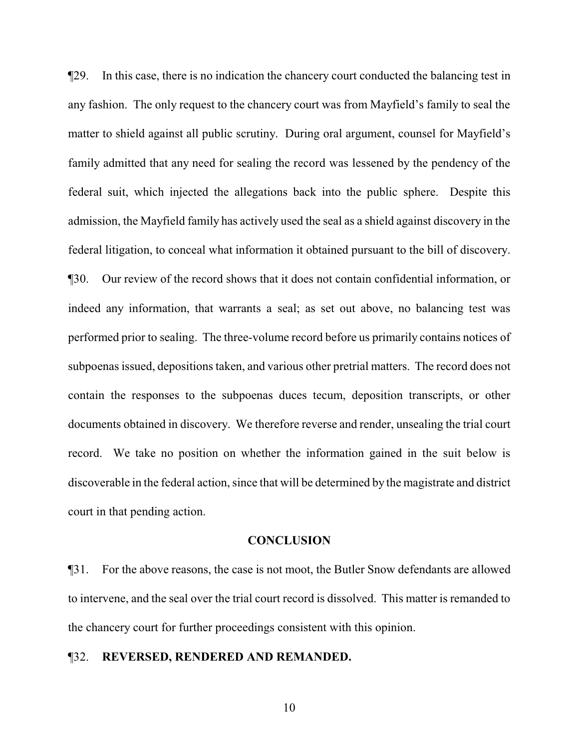¶29. In this case, there is no indication the chancery court conducted the balancing test in any fashion. The only request to the chancery court was from Mayfield's family to seal the matter to shield against all public scrutiny. During oral argument, counsel for Mayfield's family admitted that any need for sealing the record was lessened by the pendency of the federal suit, which injected the allegations back into the public sphere. Despite this admission, the Mayfield family has actively used the seal as a shield against discovery in the federal litigation, to conceal what information it obtained pursuant to the bill of discovery. ¶30. Our review of the record shows that it does not contain confidential information, or indeed any information, that warrants a seal; as set out above, no balancing test was performed prior to sealing. The three-volume record before us primarily contains notices of subpoenas issued, depositions taken, and various other pretrial matters. The record does not contain the responses to the subpoenas duces tecum, deposition transcripts, or other documents obtained in discovery. We therefore reverse and render, unsealing the trial court record. We take no position on whether the information gained in the suit below is discoverable in the federal action, since that will be determined by the magistrate and district court in that pending action.

#### **CONCLUSION**

¶31. For the above reasons, the case is not moot, the Butler Snow defendants are allowed to intervene, and the seal over the trial court record is dissolved. This matter is remanded to the chancery court for further proceedings consistent with this opinion.

## ¶32. **REVERSED, RENDERED AND REMANDED.**